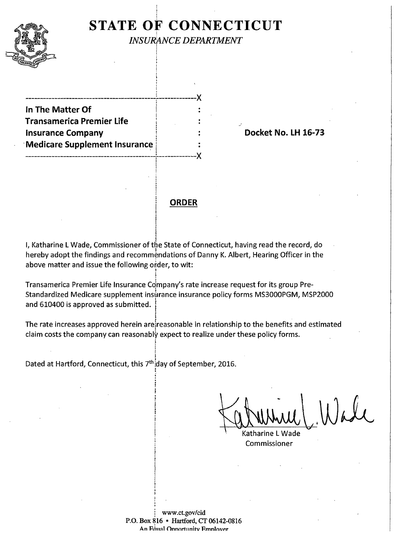### **STATE OF CONNECTICUT** l

I i. i

.' ' I I  $\mathbf{r}$ ' f .



*INSURANCE DEPARTMENT*   $\overline{\phantom{a}}$ 

---------------------------------------------~-------------)( ' **In The Matter Of Transamerica Premier life Insurance Company 1 16-73 Docket No. LH 16-73 Medicare Supplement Insurance** ---------------------------------------------r-------------)( [ !

**ORDER** 

**International Contract** I

I I

!

t

i I I

i

I, Katharine L Wade, Commissioner of the State of Connecticut, having read the record, do I ereby adopt the findings and recommendations of Danny K. Albert, Hearing Officer in the above matter and issue the following order, to wit: ' I

Transamerica Premier Life Insurance Company's rate increase request for its group Pre-Standardized Medicare supplement insurance insurance policy forms MS3000PGM, MSP2000 and 610400 is approved as submitted.

The rate increases approved herein are reasonable in relationship to the benefits and estimated claim costs the company can reasonably expect to realize under these policy forms.

Dated at Hartford, Connecticut, this 7<sup>th</sup> day of September, 2016.  $\mathbf{I}$ 

Katharine L Commissioner

www.ct.gov/cid P.O. Box 816 • Hartford, CT 06142-0816 An Faual Onnortunity Employer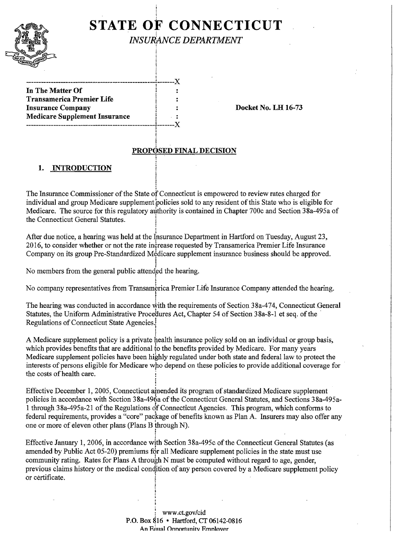## ' ! **STATE OF CONNECTICUT**

Î.

i

an<br>Barat di Kabupatèn Kabupatèn Kabupatèn Kabupatèn Kabupatèn Kabupatèn Kabupatèn Kabupatèn Kabupatèn Kabupatèn K I

'

INSURANCE DEPARTMENT

In The Matter Of Transamerica Premier Life Insurance Company **Insurance Company** I density **Docket No. LH** 16-73 Medicare Supplement Insurance ! ----------------------------------------------------~-------)(

# eroposed final decision<br>Proposed final decision

#### **1.** INTRODUCTION

The Insurance Commissioner of the State of Connecticut is empowered to review rates charged for individual and group Medicare supplement policies sold to any resident of this State who is eligible for Medicare. The source for this regulatory authority is contained in Chapter 700c and Section 38a-495a of the Connecticut General Statutes. r

I After due notice, a hearing was held at the Insurance Department in Hartford on Tuesday, August 23, 2016, to consider whether or not the rate increase requested by Transamerica Premier Life Insurance Company on its group Pre-Standardized Medicare supplement insurance business should be approved.

 $\sum_{n=1}^{\infty}$  on the general public attended the hearing.

No company representatives from Transamerica Premier Life Insurance Company attended the hearing.

The hearing was conducted in accordance with the requirements of Section  $38a-474$ , Connecticut General Statutes, the Uniform Administrative Procedures Act, Chapter 54 of Section 38a-8-1 et seq. of the Regulations of Connecticut State Agencies.!

I A Medicare supplement policy is a private health insurance policy sold on an individual or group basis, which provides benefits that are additional to the benefits provided by Medicare. For many years Medicare supplement policies have been highly regulated under both state and federal law to protect the interests of persons eligible for Medicare who depend on these policies to provide additional coverage for the costs of health care.

Effective December 1, 2005, Connecticut amended its program of standardized Medicare supplement policies in accordance with Section 38a-496a of the Connecticut General Statutes, and Sections 38a-495a-1 through 38a-495a-21 of the Regulations of Connecticut Agencies. This program, which conforms to federal requirements, provides a "core" package of benefits known as Plan A. Insurers may also offer any one or more of eleven other plans (Plans B through N).

Interest of the case of the case produce with Section 38a-495c of the Connecticut General Statutes (as Effective January 1, 2006, in accordance with Section 38a-495c of the Connecticut General Statutes (as amended by Public Act 05-20) premiums for all Medicare supplement policies in the state must use community rating. Rates for Plans A through N must be computed without regard to age, gender, previous claims history or the medical condition of any person covered by a Medicare supplement policy or certificate.

> www.ct.gov/cid P.O. Box 816 • Hartford, CT 06142-0816 An Equal Opportunity Employer

'i '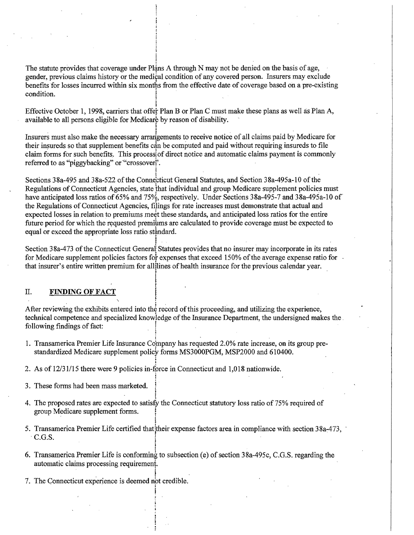The statute provides that coverage under Plans A through N may not be denied on the basis of age, gender, previous claims history or the medical condition of any covered person. Insurers may exclude benefits for losses incurred within six months from the effective date of coverage based on a pre-existing condition.

I !  $\mathbf{I}$ 

!

Effective October 1, 1998, carriers that offer Plan B or Plan C must make these plans as well as Plan A, available to all persons eligible for Medicare by reason of disability.

Insurers must also make the necessary arrangements to receive notice of all claims paid by Medicare for their insureds so that supplement benefits can be computed and paid without requiring insureds to file claim forms for such benefits. This process of direct notice and automatic claims payment is commonly referred to as "piggybacking" or "'crossoverf'.

Sections 38a-495 and 38a-522 of the Connecticut General Statutes, and Section 38a-495a-10 of the Regulations of Connecticut Agencies, state that individual and group Medicare supplement policies must have anticipated loss ratios of 65% and 75%, respectively. Under Sections 38a-495-7 and 38a-495a-10 of the Regulations of Connecticut Agencies, filings for rate increases must demonstrate that actual and expected losses in relation to premiums meet these standards, and anticipated loss ratios for the entire future period for which the requested premiums are calculated to provide coverage must be expected to equal or exceed the appropriate loss ratio standard.

Section 38a-473 of the Connecticut General Statutes provides that no insurer may incorporate in its rates for Medicare supplement policies factors for expenses that exceed 150% of the average expense ratio for that insurer's entire written premium for all lines of health insurance for the previous calendar year.

II. **FINDING OF FACT**<br>After reviewing the exhibits entered into the record of this proceeding, and utilizing the experience, technical competence and specialized knowledge of the Insurance Department, the undersigned makes the . following findings of fact: t

- 1. Transamerica Premier Life Insurance Company has requested 2.0% rate increase, on its group prestandardized Medicare supplement policy forms MS3000PGM, MSP2000 and 610400.
- 2. As of 12/31115 there were 9 policies in-force in Connecticut and 1,018 nationwide. ~

I

- 3. These forms had been mass marketed. !
- !<br>!<br>! 4. The proposed rates are expected to satisfy the Connecticut statutory loss ratio of 75% required of group Medicare supplement forms. I
- I 5. Transamerica Premier Life certified that their expense factors area in compliance with section 38a-473, C.G.S.
- 6. Transamerica Premier Life is conforming to subsection (e) of section  $38a-495c$ , C.G.S. regarding the automatic claims processing requiremeni.
- 7. The Connecticut experience is deemed not credible.